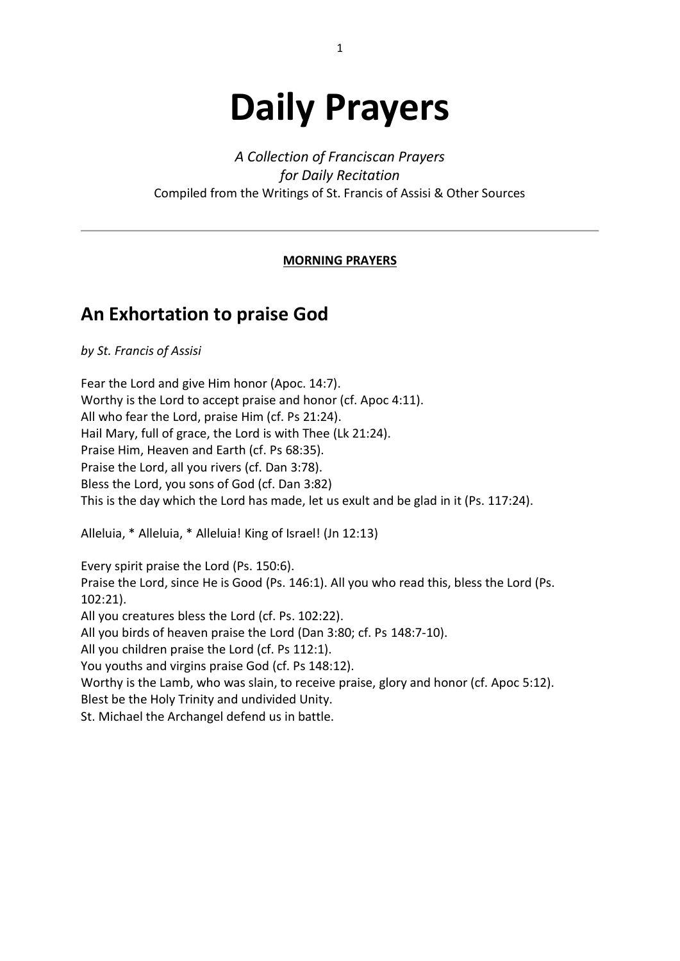# **Daily Prayers**

*A Collection of Franciscan Prayers for Daily Recitation* Compiled from the Writings of St. Francis of Assisi & Other Sources

## **MORNING PRAYERS**

# **An Exhortation to praise God**

*by St. Francis of Assisi*

Fear the Lord and give Him honor (Apoc. 14:7). Worthy is the Lord to accept praise and honor (cf. Apoc 4:11). All who fear the Lord, praise Him (cf. Ps 21:24). Hail Mary, full of grace, the Lord is with Thee (Lk 21:24). Praise Him, Heaven and Earth (cf. Ps 68:35). Praise the Lord, all you rivers (cf. Dan 3:78). Bless the Lord, you sons of God (cf. Dan 3:82) This is the day which the Lord has made, let us exult and be glad in it (Ps. 117:24).

Alleluia, \* Alleluia, \* Alleluia! King of Israel! (Jn 12:13)

Every spirit praise the Lord (Ps. 150:6). Praise the Lord, since He is Good (Ps. 146:1). All you who read this, bless the Lord (Ps. 102:21). All you creatures bless the Lord (cf. Ps. 102:22). All you birds of heaven praise the Lord (Dan 3:80; cf. Ps 148:7-10). All you children praise the Lord (cf. Ps 112:1). You youths and virgins praise God (cf. Ps 148:12). Worthy is the Lamb, who was slain, to receive praise, glory and honor (cf. Apoc 5:12). Blest be the Holy Trinity and undivided Unity.

St. Michael the Archangel defend us in battle.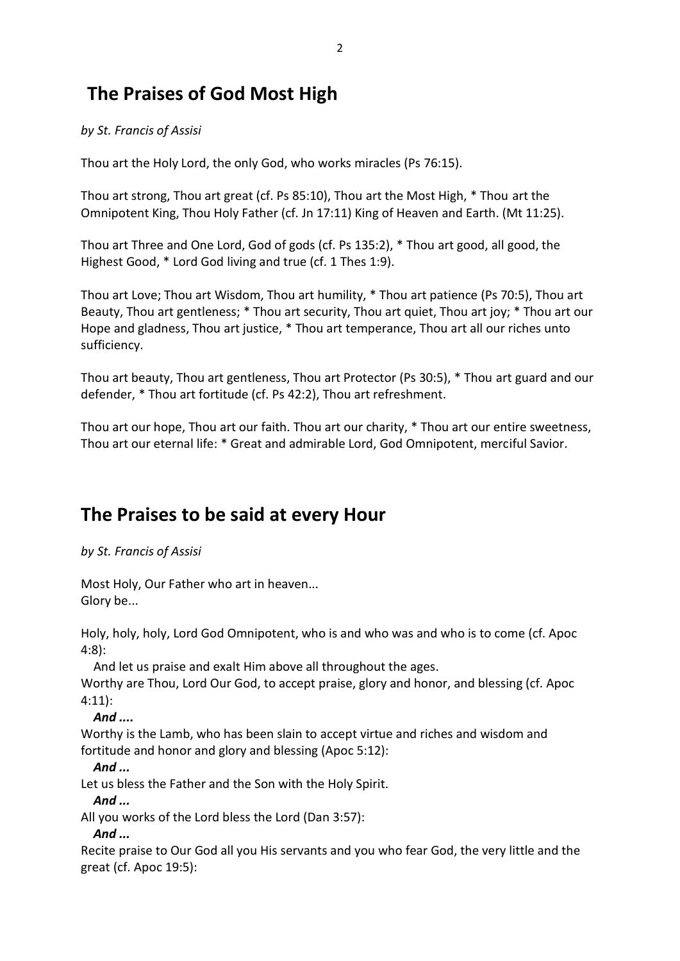# **The Praises of God Most High**

## *by St. Francis of Assisi*

Thou art the Holy Lord, the only God, who works miracles (Ps 76:15).

Thou art strong, Thou art great (cf. Ps 85:10), Thou art the Most High, \* Thou art the Omnipotent King, Thou Holy Father (cf. Jn 17:11) King of Heaven and Earth. (Mt 11:25).

Thou art Three and One Lord, God of gods (cf. Ps 135:2), \* Thou art good, all good, the Highest Good, \* Lord God living and true (cf. 1 Thes 1:9).

Thou art Love; Thou art Wisdom, Thou art humility, \* Thou art patience (Ps 70:5), Thou art Beauty, Thou art gentleness; \* Thou art security, Thou art quiet, Thou art joy; \* Thou art our Hope and gladness, Thou art justice, \* Thou art temperance, Thou art all our riches unto sufficiency.

Thou art beauty, Thou art gentleness, Thou art Protector (Ps 30:5), \* Thou art guard and our defender, \* Thou art fortitude (cf. Ps 42:2), Thou art refreshment.

Thou art our hope, Thou art our faith. Thou art our charity, \* Thou art our entire sweetness, Thou art our eternal life: \* Great and admirable Lord, God Omnipotent, merciful Savior.

# **The Praises to be said at every Hour**

*by St. Francis of Assisi*

Most Holy, Our Father who art in heaven... Glory be...

Holy, holy, holy, Lord God Omnipotent, who is and who was and who is to come (cf. Apoc 4:8):

And let us praise and exalt Him above all throughout the ages.

Worthy are Thou, Lord Our God, to accept praise, glory and honor, and blessing (cf. Apoc 4:11):

 *And ....*

Worthy is the Lamb, who has been slain to accept virtue and riches and wisdom and fortitude and honor and glory and blessing (Apoc 5:12):

 *And ...*

Let us bless the Father and the Son with the Holy Spirit.

 *And ...*

All you works of the Lord bless the Lord (Dan 3:57):

 *And ...*

Recite praise to Our God all you His servants and you who fear God, the very little and the great (cf. Apoc 19:5):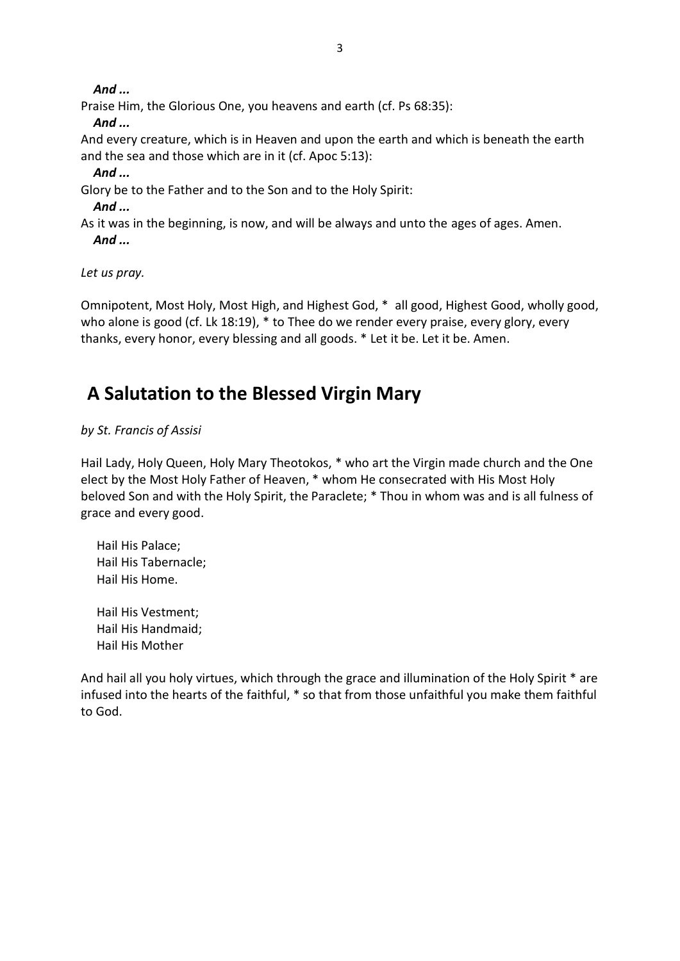*And ...*

Praise Him, the Glorious One, you heavens and earth (cf. Ps 68:35):

 *And ...*

And every creature, which is in Heaven and upon the earth and which is beneath the earth and the sea and those which are in it (cf. Apoc 5:13):

 *And ...*

Glory be to the Father and to the Son and to the Holy Spirit:

 *And ...*

As it was in the beginning, is now, and will be always and unto the ages of ages. Amen.  *And ...*

*Let us pray.*

Omnipotent, Most Holy, Most High, and Highest God, \* all good, Highest Good, wholly good, who alone is good (cf. Lk 18:19), \* to Thee do we render every praise, every glory, every thanks, every honor, every blessing and all goods. \* Let it be. Let it be. Amen.

# **A Salutation to the Blessed Virgin Mary**

*by St. Francis of Assisi*

Hail Lady, Holy Queen, Holy Mary Theotokos, \* who art the Virgin made church and the One elect by the Most Holy Father of Heaven, \* whom He consecrated with His Most Holy beloved Son and with the Holy Spirit, the Paraclete; \* Thou in whom was and is all fulness of grace and every good.

 Hail His Palace; Hail His Tabernacle; Hail His Home.

 Hail His Vestment; Hail His Handmaid; Hail His Mother

And hail all you holy virtues, which through the grace and illumination of the Holy Spirit \* are infused into the hearts of the faithful, \* so that from those unfaithful you make them faithful to God.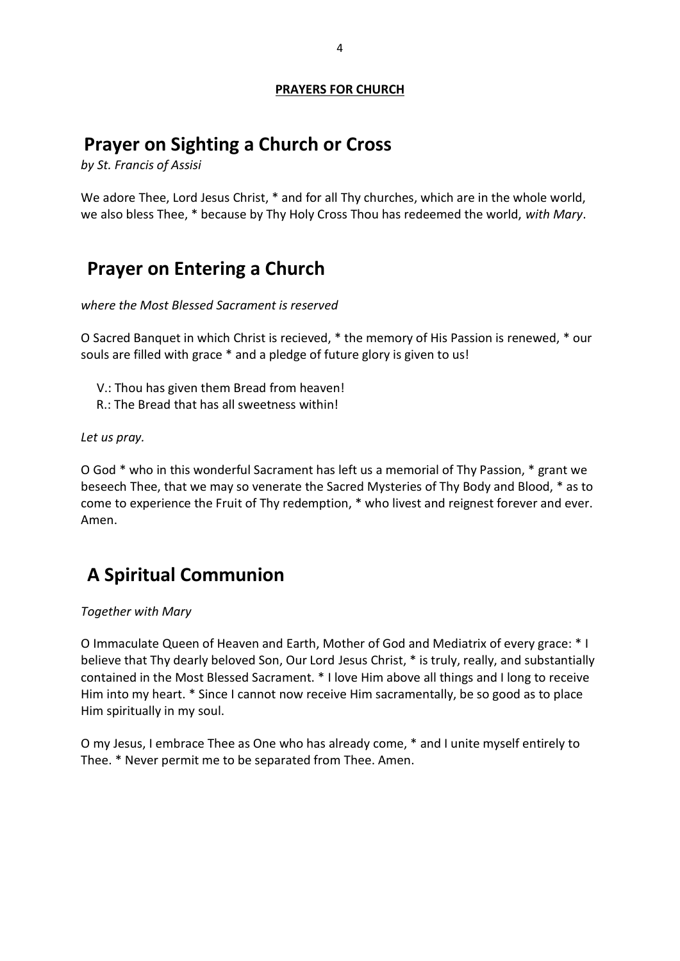## **PRAYERS FOR CHURCH**

## **Prayer on Sighting a Church or Cross**

*by St. Francis of Assisi*

We adore Thee, Lord Jesus Christ, \* and for all Thy churches, which are in the whole world, we also bless Thee, \* because by Thy Holy Cross Thou has redeemed the world, *with Mary*.

# **Prayer on Entering a Church**

*where the Most Blessed Sacrament is reserved*

O Sacred Banquet in which Christ is recieved, \* the memory of His Passion is renewed, \* our souls are filled with grace \* and a pledge of future glory is given to us!

V.: Thou has given them Bread from heaven!

R.: The Bread that has all sweetness within!

*Let us pray.*

O God \* who in this wonderful Sacrament has left us a memorial of Thy Passion, \* grant we beseech Thee, that we may so venerate the Sacred Mysteries of Thy Body and Blood, \* as to come to experience the Fruit of Thy redemption, \* who livest and reignest forever and ever. Amen.

# **A Spiritual Communion**

*Together with Mary*

O Immaculate Queen of Heaven and Earth, Mother of God and Mediatrix of every grace: \* I believe that Thy dearly beloved Son, Our Lord Jesus Christ, \* is truly, really, and substantially contained in the Most Blessed Sacrament. \* I love Him above all things and I long to receive Him into my heart. \* Since I cannot now receive Him sacramentally, be so good as to place Him spiritually in my soul.

O my Jesus, I embrace Thee as One who has already come, \* and I unite myself entirely to Thee. \* Never permit me to be separated from Thee. Amen.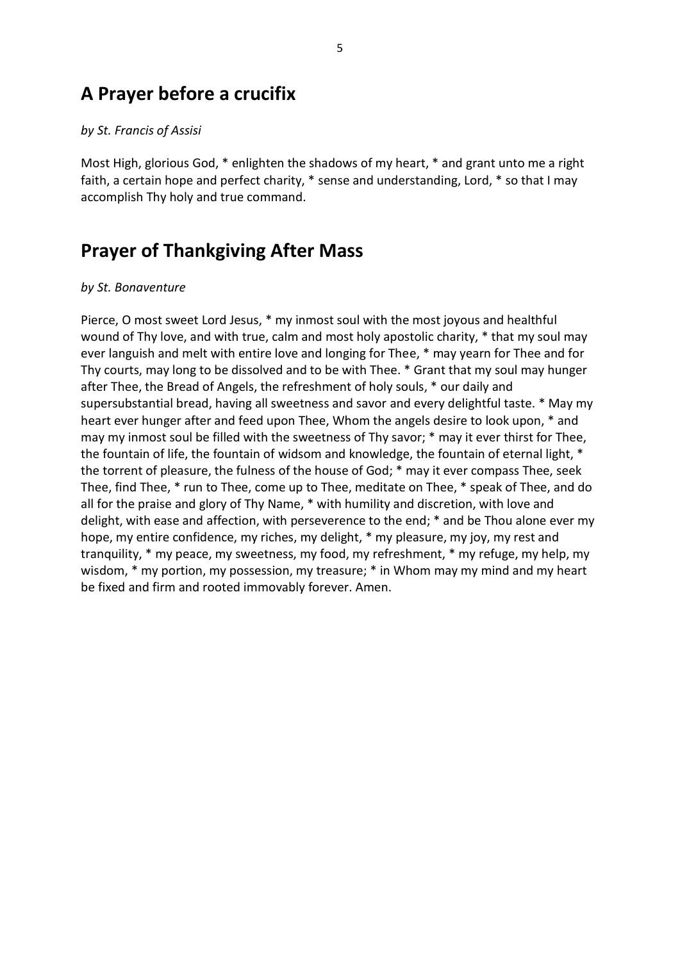## **A Prayer before a crucifix**

#### *by St. Francis of Assisi*

Most High, glorious God, \* enlighten the shadows of my heart, \* and grant unto me a right faith, a certain hope and perfect charity, \* sense and understanding, Lord, \* so that I may accomplish Thy holy and true command.

## **Prayer of Thankgiving After Mass**

#### *by St. Bonaventure*

Pierce, O most sweet Lord Jesus, \* my inmost soul with the most joyous and healthful wound of Thy love, and with true, calm and most holy apostolic charity, \* that my soul may ever languish and melt with entire love and longing for Thee, \* may yearn for Thee and for Thy courts, may long to be dissolved and to be with Thee. \* Grant that my soul may hunger after Thee, the Bread of Angels, the refreshment of holy souls, \* our daily and supersubstantial bread, having all sweetness and savor and every delightful taste. \* May my heart ever hunger after and feed upon Thee, Whom the angels desire to look upon, \* and may my inmost soul be filled with the sweetness of Thy savor; \* may it ever thirst for Thee, the fountain of life, the fountain of widsom and knowledge, the fountain of eternal light, \* the torrent of pleasure, the fulness of the house of God; \* may it ever compass Thee, seek Thee, find Thee, \* run to Thee, come up to Thee, meditate on Thee, \* speak of Thee, and do all for the praise and glory of Thy Name, \* with humility and discretion, with love and delight, with ease and affection, with perseverence to the end; \* and be Thou alone ever my hope, my entire confidence, my riches, my delight, \* my pleasure, my joy, my rest and tranquility, \* my peace, my sweetness, my food, my refreshment, \* my refuge, my help, my wisdom, \* my portion, my possession, my treasure; \* in Whom may my mind and my heart be fixed and firm and rooted immovably forever. Amen.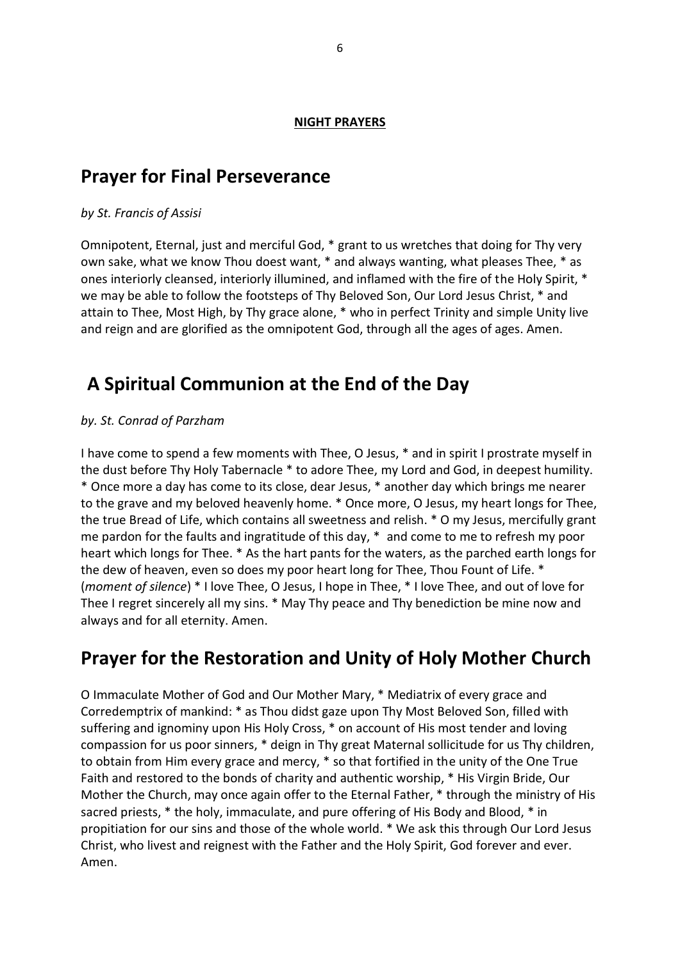## **NIGHT PRAYERS**

# **Prayer for Final Perseverance**

## *by St. Francis of Assisi*

Omnipotent, Eternal, just and merciful God, \* grant to us wretches that doing for Thy very own sake, what we know Thou doest want, \* and always wanting, what pleases Thee, \* as ones interiorly cleansed, interiorly illumined, and inflamed with the fire of the Holy Spirit, \* we may be able to follow the footsteps of Thy Beloved Son, Our Lord Jesus Christ,  $*$  and attain to Thee, Most High, by Thy grace alone, \* who in perfect Trinity and simple Unity live and reign and are glorified as the omnipotent God, through all the ages of ages. Amen.

# **A Spiritual Communion at the End of the Day**

#### *by. St. Conrad of Parzham*

I have come to spend a few moments with Thee, O Jesus, \* and in spirit I prostrate myself in the dust before Thy Holy Tabernacle \* to adore Thee, my Lord and God, in deepest humility. \* Once more a day has come to its close, dear Jesus, \* another day which brings me nearer to the grave and my beloved heavenly home. \* Once more, O Jesus, my heart longs for Thee, the true Bread of Life, which contains all sweetness and relish. \* O my Jesus, mercifully grant me pardon for the faults and ingratitude of this day, \* and come to me to refresh my poor heart which longs for Thee. \* As the hart pants for the waters, as the parched earth longs for the dew of heaven, even so does my poor heart long for Thee, Thou Fount of Life. \* (*moment of silence*) \* I love Thee, O Jesus, I hope in Thee, \* I love Thee, and out of love for Thee I regret sincerely all my sins. \* May Thy peace and Thy benediction be mine now and always and for all eternity. Amen.

## **Prayer for the Restoration and Unity of Holy Mother Church**

O Immaculate Mother of God and Our Mother Mary, \* Mediatrix of every grace and Corredemptrix of mankind: \* as Thou didst gaze upon Thy Most Beloved Son, filled with suffering and ignominy upon His Holy Cross, \* on account of His most tender and loving compassion for us poor sinners, \* deign in Thy great Maternal sollicitude for us Thy children, to obtain from Him every grace and mercy, \* so that fortified in the unity of the One True Faith and restored to the bonds of charity and authentic worship, \* His Virgin Bride, Our Mother the Church, may once again offer to the Eternal Father, \* through the ministry of His sacred priests, \* the holy, immaculate, and pure offering of His Body and Blood, \* in propitiation for our sins and those of the whole world. \* We ask this through Our Lord Jesus Christ, who livest and reignest with the Father and the Holy Spirit, God forever and ever. Amen.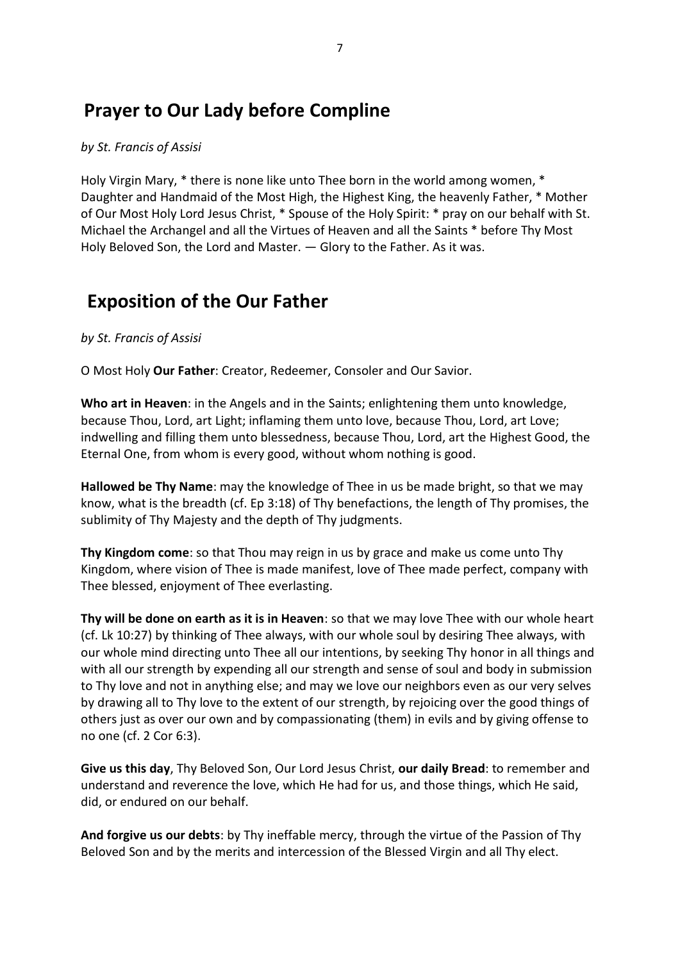# **Prayer to Our Lady before Compline**

## *by St. Francis of Assisi*

Holy Virgin Mary, \* there is none like unto Thee born in the world among women, \* Daughter and Handmaid of the Most High, the Highest King, the heavenly Father, \* Mother of Our Most Holy Lord Jesus Christ, \* Spouse of the Holy Spirit: \* pray on our behalf with St. Michael the Archangel and all the Virtues of Heaven and all the Saints \* before Thy Most Holy Beloved Son, the Lord and Master. — Glory to the Father. As it was.

# **Exposition of the Our Father**

## *by St. Francis of Assisi*

O Most Holy **Our Father**: Creator, Redeemer, Consoler and Our Savior.

**Who art in Heaven**: in the Angels and in the Saints; enlightening them unto knowledge, because Thou, Lord, art Light; inflaming them unto love, because Thou, Lord, art Love; indwelling and filling them unto blessedness, because Thou, Lord, art the Highest Good, the Eternal One, from whom is every good, without whom nothing is good.

**Hallowed be Thy Name**: may the knowledge of Thee in us be made bright, so that we may know, what is the breadth (cf. Ep 3:18) of Thy benefactions, the length of Thy promises, the sublimity of Thy Majesty and the depth of Thy judgments.

**Thy Kingdom come**: so that Thou may reign in us by grace and make us come unto Thy Kingdom, where vision of Thee is made manifest, love of Thee made perfect, company with Thee blessed, enjoyment of Thee everlasting.

**Thy will be done on earth as it is in Heaven**: so that we may love Thee with our whole heart (cf. Lk 10:27) by thinking of Thee always, with our whole soul by desiring Thee always, with our whole mind directing unto Thee all our intentions, by seeking Thy honor in all things and with all our strength by expending all our strength and sense of soul and body in submission to Thy love and not in anything else; and may we love our neighbors even as our very selves by drawing all to Thy love to the extent of our strength, by rejoicing over the good things of others just as over our own and by compassionating (them) in evils and by giving offense to no one (cf. 2 Cor 6:3).

**Give us this day**, Thy Beloved Son, Our Lord Jesus Christ, **our daily Bread**: to remember and understand and reverence the love, which He had for us, and those things, which He said, did, or endured on our behalf.

**And forgive us our debts**: by Thy ineffable mercy, through the virtue of the Passion of Thy Beloved Son and by the merits and intercession of the Blessed Virgin and all Thy elect.